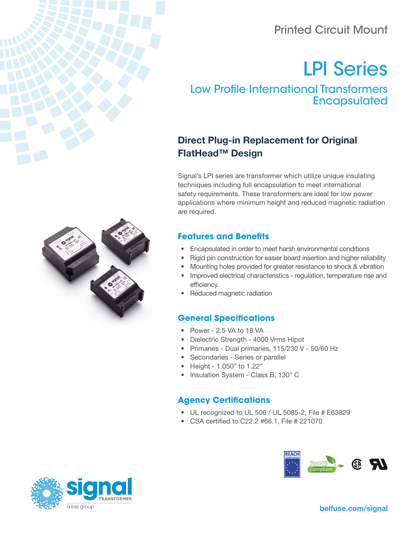# Printed Circuit Mount

# LP[I Series](https://belfuse.com/product-detail/signal-transformer-low-profile-encapsulated-international-transformers)

[Low Profile International Transformers](https://belfuse.com/product-detail/signal-transformer-low-profile-encapsulated-international-transformers) **[Encapsulated](https://belfuse.com/product-detail/signal-transformer-low-profile-encapsulated-international-transformers)** 

## Direct Plug-in Replacement for Original FlatHead™ Design

Signal's LPI series are transformer which utilize unique insulating techniques including full encapsulation to meet international safety requirements. These transformers are ideal for low power applications where minimum height and reduced magnetic radiation are required.

## **Features and Benefits**

- Encapsulated in order to meet harsh environmental conditions
- Rigid pin construction for easier board insertion and higher reliability
- Mounting holes provided for greater resistance to shock & vibration
- Improved electrical characteristics regulation, temperature rise and efficiency.
- Reduced magnetic radiation

#### **General Specifications**

- Power 2.5 VA to 18 VA
- Dielectric Strength 4000 Vrms Hipot
- Primaries Dual primaries, 115/230 V 50/60 Hz
- Secondaries Series or parallel
- Height 1.050" to 1.22"
- Insulation System Class B, 130° C

#### **Agency Certifications**

- UL recognized to UL 506 / UL 5085-2, File # E63829
- CSA certified to C22.2 #66.1, File # 221070







[belfuse.com/signal](https://belfuse.com/signal)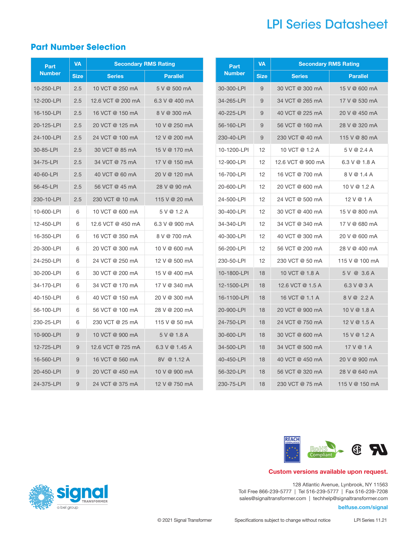# LPI Series Datasheet

## **Part Number Selection**

| Part          | <b>VA</b>      | <b>Secondary RMS Rating</b> |                  |  |              |  |
|---------------|----------------|-----------------------------|------------------|--|--------------|--|
| <b>Number</b> | <b>Size</b>    | <b>Series</b>               | <b>Parallel</b>  |  | <b>Numb</b>  |  |
| 10-250-LPI    | 2.5            | 10 VCT @ 250 mA             | 5 V @ 500 mA     |  | $30 - 300 -$ |  |
| 12-200-LPI    | 2.5            | 12.6 VCT @ 200 mA           | 6.3 V @ 400 mA   |  | 34-265-      |  |
| 16-150-LPI    | 2.5            | 16 VCT @ 150 mA             | 8 V @ 300 mA     |  | 40-225-      |  |
| 20-125-LPI    | 2.5            | 20 VCT @ 125 mA             | 10 V @ 250 mA    |  | $56 - 160 -$ |  |
| 24-100-LPI    | 2.5            | 24 VCT @ 100 mA             | 12 V @ 200 mA    |  | $230 - 40 -$ |  |
| 30-85-LPI     | 2.5            | 30 VCT @ 85 mA              | 15 V @ 170 mA    |  | 10-1200      |  |
| 34-75-LPI     | 2.5            | 34 VCT @ 75 mA              | 17 V @ 150 mA    |  | $12 - 900 -$ |  |
| 40-60-LPI     | 2.5            | 40 VCT @ 60 mA              | 20 V @ 120 mA    |  | $16 - 700 -$ |  |
| 56-45-LPI     | 2.5            | 56 VCT @ 45 mA              | 28 V @ 90 mA     |  | 20-600-      |  |
| 230-10-LPI    | 2.5            | 230 VCT @ 10 mA             | 115 V @ 20 mA    |  | 24-500-      |  |
| 10-600-LPI    | 6              | 10 VCT @ 600 mA             | 5 V @ 1.2 A      |  | $30 - 400 -$ |  |
| 12-450-LPI    | 6              | 12.6 VCT @ 450 mA           | 6.3 V @ 900 mA   |  | 34-340-      |  |
| 16-350-LPI    | 6              | 16 VCT @ 350 mA             | 8 V @ 700 mA     |  | 40-300-      |  |
| 20-300-LPI    | 6              | 20 VCT @ 300 mA             | 10 V @ 600 mA    |  | $56 - 200 -$ |  |
| 24-250-LPI    | 6              | 24 VCT @ 250 mA             | 12 V @ 500 mA    |  | 230-50-      |  |
| 30-200-LPI    | 6              | 30 VCT @ 200 mA             | 15 V @ 400 mA    |  | 10-1800      |  |
| 34-170-LPI    | 6              | 34 VCT @ 170 mA             | 17 V @ 340 mA    |  | 12-1500      |  |
| 40-150-LPI    | 6              | 40 VCT @ 150 mA             | 20 V @ 300 mA    |  | 16-1100      |  |
| 56-100-LPI    | 6              | 56 VCT @ 100 mA             | 28 V @ 200 mA    |  | 20-900-      |  |
| 230-25-LPI    | 6              | 230 VCT @ 25 mA             | 115 V @ 50 mA    |  | $24 - 750 -$ |  |
| 10-900-LPI    | 9              | 10 VCT @ 900 mA             | 5 V @ 1.8 A      |  | $30 - 600 -$ |  |
| 12-725-LPI    | 9              | 12.6 VCT @ 725 mA           | 6.3 V $@$ 1.45 A |  | $34 - 500 -$ |  |
| 16-560-LPI    | $\overline{9}$ | 16 VCT @ 560 mA             | 8V @ 1.12 A      |  | $40 - 450 -$ |  |
| 20-450-LPI    | 9              | 20 VCT @ 450 mA             | 10 V @ 900 mA    |  | 56-320-      |  |
| 24-375-LPI    | 9              | 24 VCT @ 375 mA             | 12 V @ 750 mA    |  | $230 - 75 -$ |  |
|               |                |                             |                  |  |              |  |

| Part          | VA          | <b>Secondary RMS Rating</b> |                 |  |  |  |  |
|---------------|-------------|-----------------------------|-----------------|--|--|--|--|
| <b>Number</b> | <b>Size</b> | <b>Series</b>               | <b>Parallel</b> |  |  |  |  |
| 30-300-LPI    | 9           | 30 VCT @ 300 mA             | 15 V @ 600 mA   |  |  |  |  |
| 34-265-LPI    | 9           | 34 VCT @ 265 mA             | 17 V @ 530 mA   |  |  |  |  |
| 40-225-LPI    | 9           | 40 VCT @ 225 mA             | 20 V @ 450 mA   |  |  |  |  |
| 56-160-LPI    | 9           | 56 VCT @ 160 mA             | 28 V @ 320 mA   |  |  |  |  |
| 230-40-LPI    | 9           | 230 VCT @ 40 mA             | 115 V @ 80 mA   |  |  |  |  |
| 10-1200-LPI   | 12          | 10 VCT @ 1.2 A              | 5 V @ 2.4 A     |  |  |  |  |
| 12-900-LPI    | 12          | 12.6 VCT @ 900 mA           | $6.3$ V @ 1.8 A |  |  |  |  |
| 16-700-LPI    | 12          | 16 VCT @ 700 mA             | 8 V @ 1.4 A     |  |  |  |  |
| 20-600-LPI    | 12          | 20 VCT @ 600 mA             | 10 V @ 1.2 A    |  |  |  |  |
| 24-500-LPI    | 12          | 24 VCT @ 500 mA             | 12 V @ 1 A      |  |  |  |  |
| 30-400-LPI    | 12          | 30 VCT @ 400 mA             | 15 V @ 800 mA   |  |  |  |  |
| 34-340-LPI    | 12          | 34 VCT @ 340 mA             | 17 V @ 680 mA   |  |  |  |  |
| 40-300-LPI    | 12          | 40 VCT @ 300 mA             | 20 V @ 600 mA   |  |  |  |  |
| 56-200-LPI    | 12          | 56 VCT @ 200 mA             | 28 V @ 400 mA   |  |  |  |  |
| 230-50-LPI    | 12          | 230 VCT @ 50 mA             | 115 V @ 100 mA  |  |  |  |  |
| 10-1800-LPI   | 18          | 10 VCT @ 1.8 A              | 5 V @ 3.6 A     |  |  |  |  |
| 12-1500-LPI   | 18          | 12.6 VCT @ 1.5 A            | 6.3 V @ 3 A     |  |  |  |  |
| 16-1100-LPI   | 18          | 16 VCT @ 1.1 A              | 8 V @ 2.2 A     |  |  |  |  |
| 20-900-LPI    | 18          | 20 VCT @ 900 mA             | 10 V @ 1.8 A    |  |  |  |  |
| 24-750-LPI    | 18          | 24 VCT @ 750 mA             | 12 V @ 1.5 A    |  |  |  |  |
| 30-600-LPI    | 18          | 30 VCT @ 600 mA             | 15 V @ 1.2 A    |  |  |  |  |
| 34-500-LPI    | 18          | 34 VCT @ 500 mA             | 17 V @ 1 A      |  |  |  |  |
| 40-450-LPI    | 18          | 40 VCT @ 450 mA             | 20 V @ 900 mA   |  |  |  |  |
| 56-320-LPI    | 18          | 56 VCT @ 320 mA             | 28 V @ 640 mA   |  |  |  |  |
| 230-75-LPI    | 18          | 230 VCT @ 75 mA             | 115 V @ 150 mA  |  |  |  |  |



#### Custom versions available upon request.

128 Atlantic Avenue, Lynbrook, NY 11563 Toll Free 866-239-5777 | Tel 516-239-5777 | Fax 516-239-7208 sales@signaltransformer.com | techhelp@signaltransformer.com

#### belfuse.com/signal